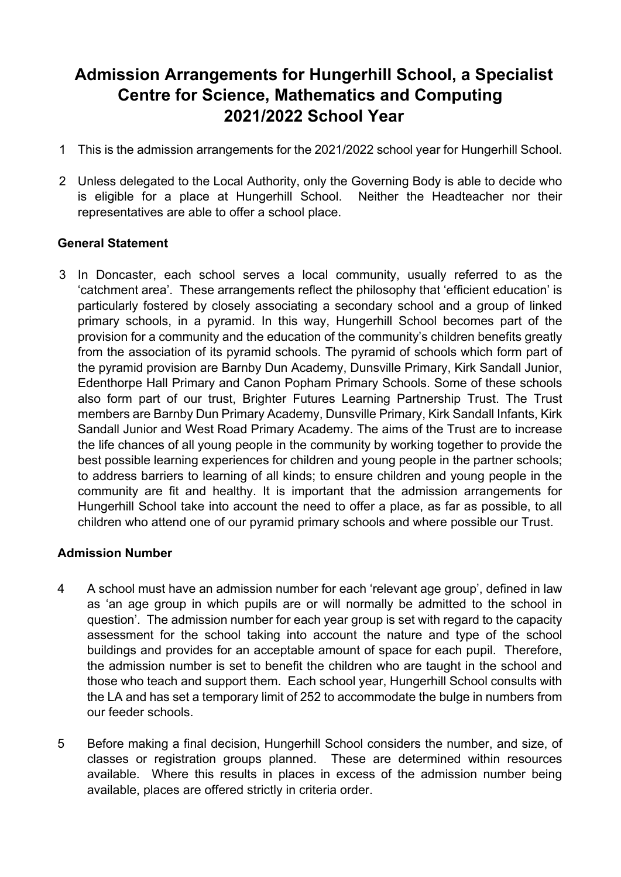# **Admission Arrangements for Hungerhill School, a Specialist Centre for Science, Mathematics and Computing 2021/2022 School Year**

- 1 This is the admission arrangements for the 2021/2022 school year for Hungerhill School.
- 2 Unless delegated to the Local Authority, only the Governing Body is able to decide who is eligible for a place at Hungerhill School. Neither the Headteacher nor their representatives are able to offer a school place.

# **General Statement**

3 In Doncaster, each school serves a local community, usually referred to as the 'catchment area'. These arrangements reflect the philosophy that 'efficient education' is particularly fostered by closely associating a secondary school and a group of linked primary schools, in a pyramid. In this way, Hungerhill School becomes part of the provision for a community and the education of the community's children benefits greatly from the association of its pyramid schools. The pyramid of schools which form part of the pyramid provision are Barnby Dun Academy, Dunsville Primary, Kirk Sandall Junior, Edenthorpe Hall Primary and Canon Popham Primary Schools. Some of these schools also form part of our trust, Brighter Futures Learning Partnership Trust. The Trust members are Barnby Dun Primary Academy, Dunsville Primary, Kirk Sandall Infants, Kirk Sandall Junior and West Road Primary Academy. The aims of the Trust are to increase the life chances of all young people in the community by working together to provide the best possible learning experiences for children and young people in the partner schools; to address barriers to learning of all kinds; to ensure children and young people in the community are fit and healthy. It is important that the admission arrangements for Hungerhill School take into account the need to offer a place, as far as possible, to all children who attend one of our pyramid primary schools and where possible our Trust.

# **Admission Number**

- 4 A school must have an admission number for each 'relevant age group', defined in law as 'an age group in which pupils are or will normally be admitted to the school in question'. The admission number for each year group is set with regard to the capacity assessment for the school taking into account the nature and type of the school buildings and provides for an acceptable amount of space for each pupil. Therefore, the admission number is set to benefit the children who are taught in the school and those who teach and support them. Each school year, Hungerhill School consults with the LA and has set a temporary limit of 252 to accommodate the bulge in numbers from our feeder schools.
- 5 Before making a final decision, Hungerhill School considers the number, and size, of classes or registration groups planned. These are determined within resources available. Where this results in places in excess of the admission number being available, places are offered strictly in criteria order.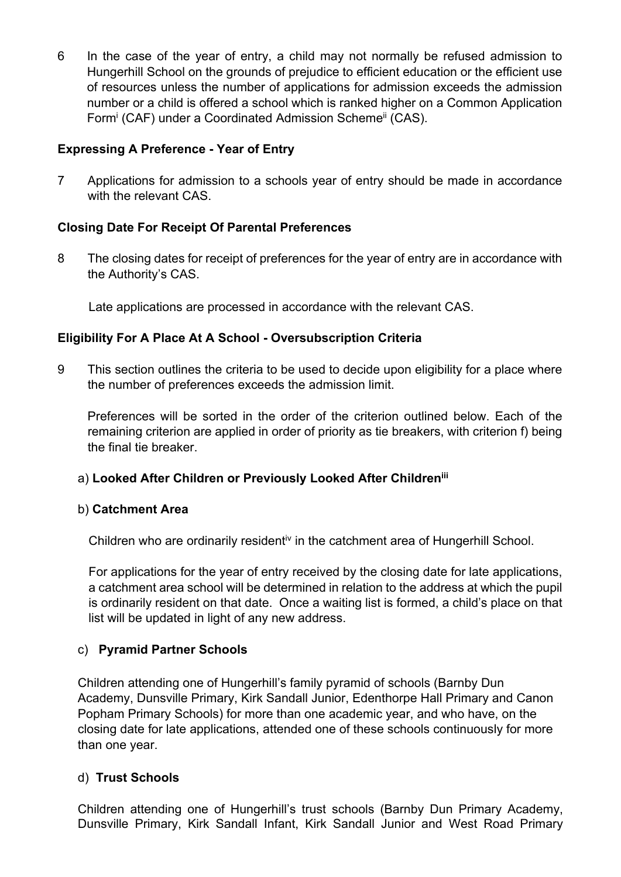6 In the case of the year of entry, a child may not normally be refused admission to Hungerhill School on the grounds of prejudice to efficient education or the efficient use of resources unless the number of applications for admission exceeds the admission number or a child is offered a school which is ranked higher on a Common Application Form<sup>i</sup> (CAF) under a Coordinated Admission Scheme<sup>ii</sup> (CAS).

# **Expressing A Preference - Year of Entry**

7 Applications for admission to a schools year of entry should be made in accordance with the relevant CAS.

# **Closing Date For Receipt Of Parental Preferences**

8 The closing dates for receipt of preferences for the year of entry are in accordance with the Authority's CAS.

Late applications are processed in accordance with the relevant CAS.

# **Eligibility For A Place At A School - Oversubscription Criteria**

9 This section outlines the criteria to be used to decide upon eligibility for a place where the number of preferences exceeds the admission limit.

 Preferences will be sorted in the order of the criterion outlined below. Each of the remaining criterion are applied in order of priority as tie breakers, with criterion f) being the final tie breaker.

# a) **Looked After Children or Previously Looked After Childreniii**

# b) **Catchment Area**

Children who are ordinarily residenti<sup>v</sup> in the catchment area of Hungerhill School.

For applications for the year of entry received by the closing date for late applications, a catchment area school will be determined in relation to the address at which the pupil is ordinarily resident on that date. Once a waiting list is formed, a child's place on that list will be updated in light of any new address.

# c) **Pyramid Partner Schools**

Children attending one of Hungerhill's family pyramid of schools (Barnby Dun Academy, Dunsville Primary, Kirk Sandall Junior, Edenthorpe Hall Primary and Canon Popham Primary Schools) for more than one academic year, and who have, on the closing date for late applications, attended one of these schools continuously for more than one year.

# d) **Trust Schools**

Children attending one of Hungerhill's trust schools (Barnby Dun Primary Academy, Dunsville Primary, Kirk Sandall Infant, Kirk Sandall Junior and West Road Primary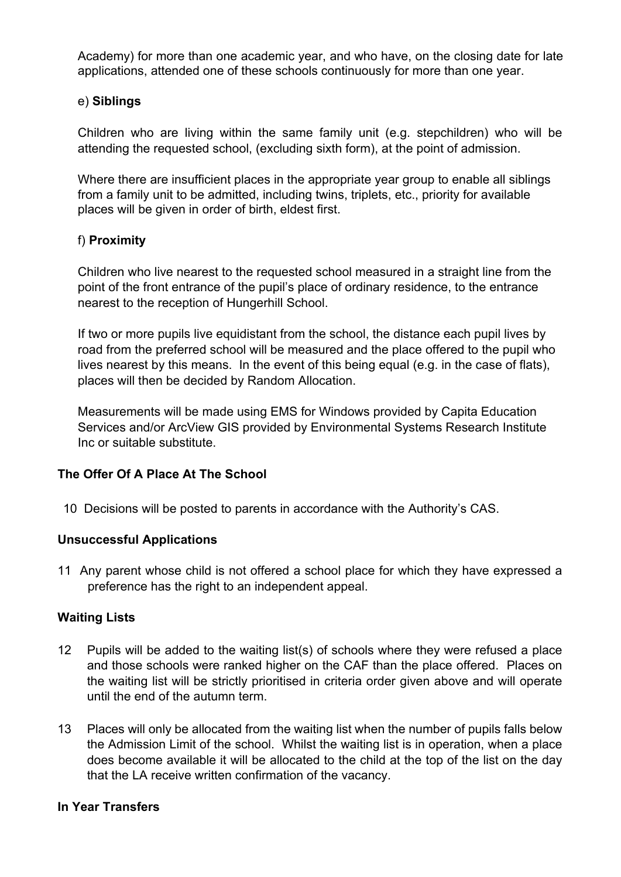Academy) for more than one academic year, and who have, on the closing date for late applications, attended one of these schools continuously for more than one year.

## e) **Siblings**

Children who are living within the same family unit (e.g. stepchildren) who will be attending the requested school, (excluding sixth form), at the point of admission.

Where there are insufficient places in the appropriate year group to enable all siblings from a family unit to be admitted, including twins, triplets, etc., priority for available places will be given in order of birth, eldest first.

## f) **Proximity**

Children who live nearest to the requested school measured in a straight line from the point of the front entrance of the pupil's place of ordinary residence, to the entrance nearest to the reception of Hungerhill School.

If two or more pupils live equidistant from the school, the distance each pupil lives by road from the preferred school will be measured and the place offered to the pupil who lives nearest by this means. In the event of this being equal (e.g. in the case of flats), places will then be decided by Random Allocation.

Measurements will be made using EMS for Windows provided by Capita Education Services and/or ArcView GIS provided by Environmental Systems Research Institute Inc or suitable substitute.

# **The Offer Of A Place At The School**

10 Decisions will be posted to parents in accordance with the Authority's CAS.

#### **Unsuccessful Applications**

11 Any parent whose child is not offered a school place for which they have expressed a preference has the right to an independent appeal.

#### **Waiting Lists**

- 12 Pupils will be added to the waiting list(s) of schools where they were refused a place and those schools were ranked higher on the CAF than the place offered. Places on the waiting list will be strictly prioritised in criteria order given above and will operate until the end of the autumn term.
- 13 Places will only be allocated from the waiting list when the number of pupils falls below the Admission Limit of the school. Whilst the waiting list is in operation, when a place does become available it will be allocated to the child at the top of the list on the day that the LA receive written confirmation of the vacancy.

#### **In Year Transfers**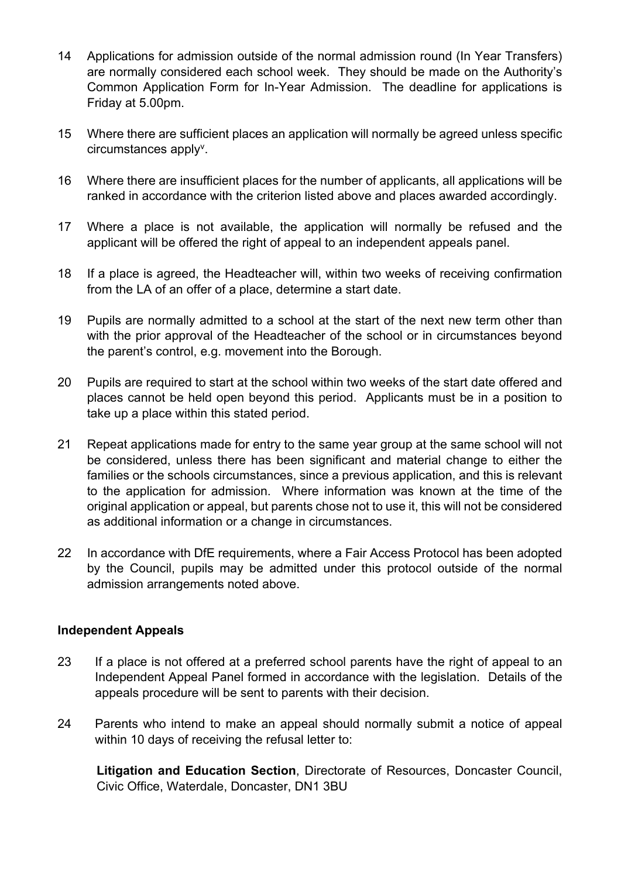- 14 Applications for admission outside of the normal admission round (In Year Transfers) are normally considered each school week. They should be made on the Authority's Common Application Form for In-Year Admission. The deadline for applications is Friday at 5.00pm.
- 15 Where there are sufficient places an application will normally be agreed unless specific circumstances apply<sup>v</sup>.
- 16 Where there are insufficient places for the number of applicants, all applications will be ranked in accordance with the criterion listed above and places awarded accordingly.
- 17 Where a place is not available, the application will normally be refused and the applicant will be offered the right of appeal to an independent appeals panel.
- 18 If a place is agreed, the Headteacher will, within two weeks of receiving confirmation from the LA of an offer of a place, determine a start date.
- 19 Pupils are normally admitted to a school at the start of the next new term other than with the prior approval of the Headteacher of the school or in circumstances beyond the parent's control, e.g. movement into the Borough.
- 20 Pupils are required to start at the school within two weeks of the start date offered and places cannot be held open beyond this period. Applicants must be in a position to take up a place within this stated period.
- 21 Repeat applications made for entry to the same year group at the same school will not be considered, unless there has been significant and material change to either the families or the schools circumstances, since a previous application, and this is relevant to the application for admission. Where information was known at the time of the original application or appeal, but parents chose not to use it, this will not be considered as additional information or a change in circumstances.
- 22 In accordance with DfE requirements, where a Fair Access Protocol has been adopted by the Council, pupils may be admitted under this protocol outside of the normal admission arrangements noted above.

#### **Independent Appeals**

- 23 If a place is not offered at a preferred school parents have the right of appeal to an Independent Appeal Panel formed in accordance with the legislation. Details of the appeals procedure will be sent to parents with their decision.
- 24 Parents who intend to make an appeal should normally submit a notice of appeal within 10 days of receiving the refusal letter to:

**Litigation and Education Section**, Directorate of Resources, Doncaster Council, Civic Office, Waterdale, Doncaster, DN1 3BU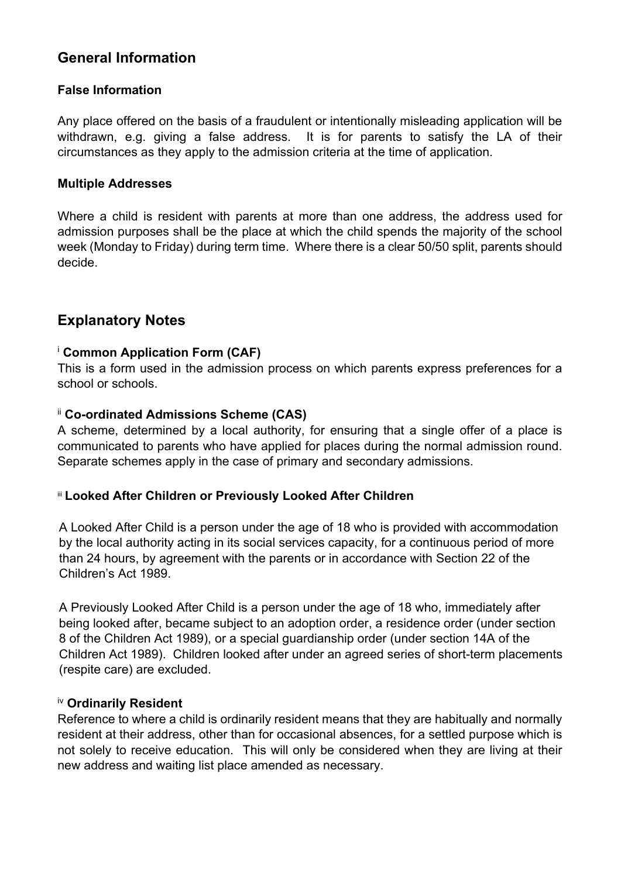# **General Information**

# **False Information**

Any place offered on the basis of a fraudulent or intentionally misleading application will be withdrawn, e.g. giving a false address. It is for parents to satisfy the LA of their circumstances as they apply to the admission criteria at the time of application.

#### **Multiple Addresses**

Where a child is resident with parents at more than one address, the address used for admission purposes shall be the place at which the child spends the majority of the school week (Monday to Friday) during term time. Where there is a clear 50/50 split, parents should decide.

# **Explanatory Notes**

## <sup>i</sup> **Common Application Form (CAF)**

This is a form used in the admission process on which parents express preferences for a school or schools.

#### ii **Co-ordinated Admissions Scheme (CAS)**

A scheme, determined by a local authority, for ensuring that a single offer of a place is communicated to parents who have applied for places during the normal admission round. Separate schemes apply in the case of primary and secondary admissions.

#### iii **Looked After Children or Previously Looked After Children**

A Looked After Child is a person under the age of 18 who is provided with accommodation by the local authority acting in its social services capacity, for a continuous period of more than 24 hours, by agreement with the parents or in accordance with Section 22 of the Children's Act 1989.

A Previously Looked After Child is a person under the age of 18 who, immediately after being looked after, became subject to an adoption order, a residence order (under section 8 of the Children Act 1989), or a special guardianship order (under section 14A of the Children Act 1989). Children looked after under an agreed series of short-term placements (respite care) are excluded.

#### iv **Ordinarily Resident**

Reference to where a child is ordinarily resident means that they are habitually and normally resident at their address, other than for occasional absences, for a settled purpose which is not solely to receive education. This will only be considered when they are living at their new address and waiting list place amended as necessary.